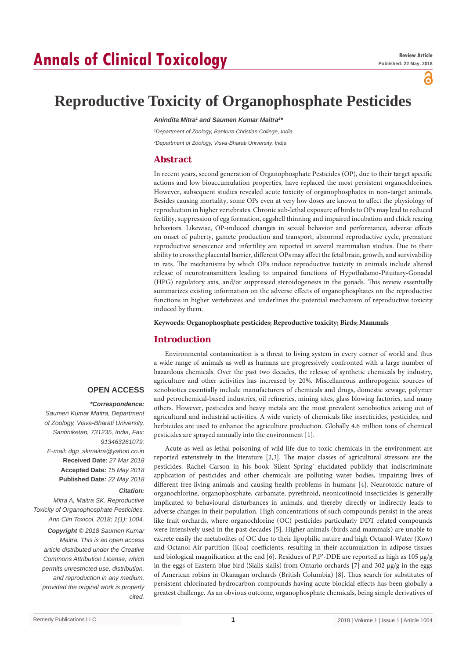# **Annals of Clinical Toxicology**

പ്പ

## **Reproductive Toxicity of Organophosphate Pesticides**

Anindita Mitra<sup>1</sup> and Saumen Kumar Maitra<sup>2</sup><sup>,</sup>

*1 Department of Zoology, Bankura Christian College, India 2 Department of Zoology, Visva-Bharati University, India*

## **Abstract**

In recent years, second generation of Organophosphate Pesticides (OP), due to their target specific actions and low bioaccumulation properties, have replaced the most persistent organochlorines. However, subsequent studies revealed acute toxicity of organophosphates in non-target animals. Besides causing mortality, some OPs even at very low doses are known to affect the physiology of reproduction in higher vertebrates. Chronic sub-lethal exposure of birds to OPs may lead to reduced fertility, suppression of egg formation, eggshell thinning and impaired incubation and chick rearing behaviors. Likewise, OP-induced changes in sexual behavior and performance, adverse effects on onset of puberty, gamete production and transport, abnormal reproductive cycle, premature reproductive senescence and infertility are reported in several mammalian studies. Due to their ability to cross the placental barrier, different OPs may affect the fetal brain, growth, and survivability in rats. The mechanisms by which OPs induce reproductive toxicity in animals include altered release of neurotransmitters leading to impaired functions of Hypothalamo-Pituitary-Gonadal (HPG) regulatory axis, and/or suppressed steroidogenesis in the gonads. This review essentially summarizes existing information on the adverse effects of organophosphates on the reproductive functions in higher vertebrates and underlines the potential mechanism of reproductive toxicity induced by them.

**Keywords: Organophosphate pesticides; Reproductive toxicity; Birds; Mammals**

## **Introduction**

## **OPEN ACCESS**

#### *\*Correspondence:*

*Saumen Kumar Maitra, Department of Zoology, Visva-Bharati University, Santiniketan, 731235, India, Fax: 913463261079; E-mail: dgp\_skmaitra@yahoo.co.in* **Received Date**: *27 Mar 2018* **Accepted Date***: 15 May 2018* **Published Date***: 22 May 2018*

#### *Citation:*

*Mitra A, Maitra SK. Reproductive Toxicity of Organophosphate Pesticides. Ann Clin Toxicol. 2018; 1(1): 1004.*

*Copyright © 2018 Saumen Kumar Maitra. This is an open access article distributed under the Creative Commons Attribution License, which permits unrestricted use, distribution, and reproduction in any medium, provided the original work is properly cited.*

Environmental contamination is a threat to living system in every corner of world and thus a wide range of animals as well as humans are progressively confronted with a large number of hazardous chemicals. Over the past two decades, the release of synthetic chemicals by industry, agriculture and other activities has increased by 20%. Miscellaneous anthropogenic sources of xenobiotics essentially include manufacturers of chemicals and drugs, domestic sewage, polymer and petrochemical-based industries, oil refineries, mining sites, glass blowing factories, and many others. However, pesticides and heavy metals are the most prevalent xenobiotics arising out of agricultural and industrial activities. A wide variety of chemicals like insecticides, pesticides, and herbicides are used to enhance the agriculture production. Globally 4.6 million tons of chemical pesticides are sprayed annually into the environment [1].

Acute as well as lethal poisoning of wild life due to toxic chemicals in the environment are reported extensively in the literature [2,3]. The major classes of agricultural stressors are the pesticides. Rachel Carson in his book 'Silent Spring' elucidated publicly that indiscriminate application of pesticides and other chemicals are polluting water bodies, impairing lives of different free-living animals and causing health problems in humans [4]. Neurotoxic nature of organochlorine, organophosphate, carbamate, pyrethroid, neonicotinoid insecticides is generally implicated to behavioural disturbances in animals, and thereby directly or indirectly leads to adverse changes in their population. High concentrations of such compounds persist in the areas like fruit orchards, where organochlorine (OC) pesticides particularly DDT related compounds were intensively used in the past decades [5]. Higher animals (birds and mammals) are unable to excrete easily the metabolites of OC due to their lipophilic nature and high Octanol-Water (Kow) and Octanol-Air partition (Koa) coefficients, resulting in their accumulation in adipose tissues and biological magnification at the end [6]. Residues of P,P'-DDE are reported as high as  $105 \mu g/g$ in the eggs of Eastern blue bird (Sialis sialis) from Ontario orchards [7] and 302 µg/g in the eggs of American robins in Okanagan orchards (British Columbia) [8]. Thus search for substitutes of persistent chlorinated hydrocarbon compounds having acute biocidal effects has been globally a greatest challenge. As an obvious outcome, organophosphate chemicals, being simple derivatives of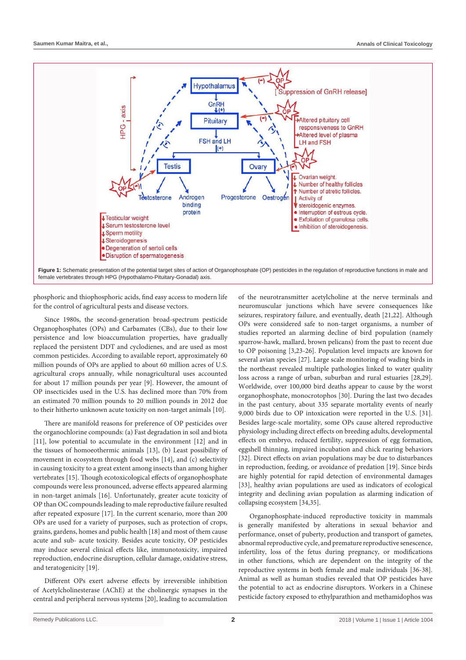

phosphoric and thiophosphoric acids, find easy access to modern life for the control of agricultural pests and disease vectors.

Since 1980s, the second-generation broad-spectrum pesticide Organophosphates (OPs) and Carbamates (CBs), due to their low persistence and low bioaccumulation properties, have gradually replaced the persistent DDT and cyclodienes, and are used as most common pesticides. According to available report, approximately 60 million pounds of OPs are applied to about 60 million acres of U.S. agricultural crops annually, while nonagricultural uses accounted for about 17 million pounds per year [9]. However, the amount of OP insecticides used in the U.S. has declined more than 70% from an estimated 70 million pounds to 20 million pounds in 2012 due to their hitherto unknown acute toxicity on non-target animals [10].

There are manifold reasons for preference of OP pesticides over the organochlorine compounds: (a) Fast degradation in soil and biota [11], low potential to accumulate in the environment [12] and in the tissues of homoeothermic animals [13], (b) Least possibility of movement in ecosystem through food webs [14], and (c) selectivity in causing toxicity to a great extent among insects than among higher vertebrates [15]. Though ecotoxicological effects of organophosphate compounds were less pronounced, adverse effects appeared alarming in non-target animals [16]. Unfortunately, greater acute toxicity of OP than OC compounds leading to male reproductive failure resulted after repeated exposure [17]. In the current scenario, more than 200 OPs are used for a variety of purposes, such as protection of crops, grains, gardens, homes and public health [18] and most of them cause acute and sub- acute toxicity. Besides acute toxicity, OP pesticides may induce several clinical effects like, immunotoxicity, impaired reproduction, endocrine disruption, cellular damage, oxidative stress, and teratogenicity [19].

Different OPs exert adverse effects by irreversible inhibition of Acetylcholinesterase (AChE) at the cholinergic synapses in the central and peripheral nervous systems [20], leading to accumulation of the neurotransmitter acetylcholine at the nerve terminals and neuromuscular junctions which have severe consequences like seizures, respiratory failure, and eventually, death [21,22]. Although OPs were considered safe to non-target organisms, a number of studies reported an alarming decline of bird population (namely sparrow-hawk, mallard, brown pelicans) from the past to recent due to OP poisoning [3,23-26]. Population level impacts are known for several avian species [27]. Large scale monitoring of wading birds in the northeast revealed multiple pathologies linked to water quality loss across a range of urban, suburban and rural estuaries [28,29]. Worldwide, over 100,000 bird deaths appear to cause by the worst organophosphate, monocrotophos [30]. During the last two decades in the past century, about 335 separate mortality events of nearly 9,000 birds due to OP intoxication were reported in the U.S. [31]. Besides large-scale mortality, some OPs cause altered reproductive physiology including direct effects on breeding adults, developmental effects on embryo, reduced fertility, suppression of egg formation, eggshell thinning, impaired incubation and chick rearing behaviors [32]. Direct effects on avian populations may be due to disturbances in reproduction, feeding, or avoidance of predation [19]. Since birds are highly potential for rapid detection of environmental damages [33], healthy avian populations are used as indicators of ecological integrity and declining avian population as alarming indication of collapsing ecosystem [34,35].

Organophosphate-induced reproductive toxicity in mammals is generally manifested by alterations in sexual behavior and performance, onset of puberty, production and transport of gametes, abnormal reproductive cycle, and premature reproductive senescence, infertility, loss of the fetus during pregnancy, or modifications in other functions, which are dependent on the integrity of the reproductive systems in both female and male individuals [36-38]. Animal as well as human studies revealed that OP pesticides have the potential to act as endocrine disruptors. Workers in a Chinese pesticide factory exposed to ethylparathion and methamidophos was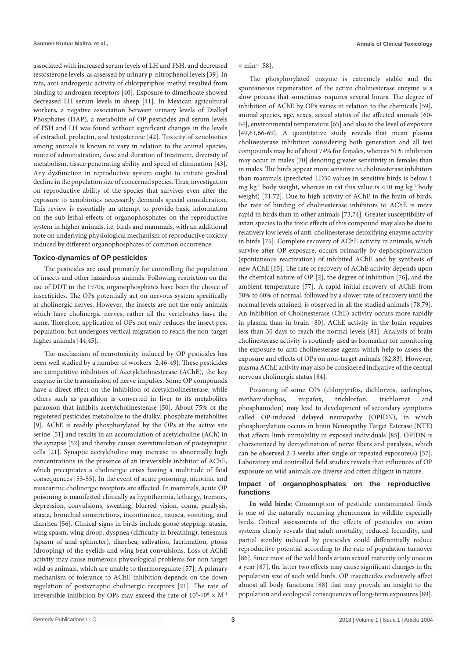associated with increased serum levels of LH and FSH, and decreased testosterone levels, as assessed by urinary p-nitrophenol levels [39]. In rats, anti-androgenic activity of chlorpyriphos-methyl resulted from binding to androgen receptors [40]. Exposure to dimethoate showed decreased LH serum levels in sheep [41]. In Mexican agricultural workers, a negative association between urinary levels of Dialkyl Phosphates (DAP), a metabolite of OP pesticides and serum levels of FSH and LH was found without significant changes in the levels of estradiol, prolactin, and testosterone [42]. Toxicity of xenobiotics among animals is known to vary in relation to the animal species, route of administration, dose and duration of treatment, diversity of metabolism, tissue penetrating ability and speed of elimination [43]. Any dysfunction in reproductive system ought to initiate gradual decline in the population size of concerned species. Thus, investigation on reproductive ability of the species that survives even after the exposure to xenobiotics necessarily demands special consideration. This review is essentially an attempt to provide basic information on the sub-lethal effects of organophosphates on the reproductive system in higher animals, i.e. birds and mammals, with an additional note on underlying physiological mechanism of reproductive toxicity induced by different organophosphates of common occurrence.

#### **Toxico-dynamics of OP pesticides**

The pesticides are used primarily for controlling the population of insects and other hazardous animals. Following restriction on the use of DDT in the 1970s, organophosphates have been the choice of insecticides. The OPs potentially act on nervous system specifically at cholinergic nerves. However, the insects are not the only animals which have cholinergic nerves, rather all the vertebrates have the same. Therefore, application of OPs not only reduces the insect pest population, but undergoes vertical migration to reach the non-target higher animals [44,45].

The mechanism of neurotoxicity induced by OP pesticides has been well studied by a number of workers [2,46-49]. These pesticides are competitive inhibitors of Acetylcholinesterase (AChE), the key enzyme in the transmission of nerve impulses. Some OP compounds have a direct effect on the inhibition of acetylcholinesterase, while others such as parathion is converted in liver to its metabolites paraoxon that inhibits acetylcholinesterase [50]. About 75% of the registered pesticides metabolize to the dialkyl phosphate metabolites [9]. AChE is readily phosphorylated by the OPs at the active site serine [51] and results in an accumulation of acetylcholine (ACh) in the synapse [52] and thereby causes overstimulation of postsynaptic cells [21]. Synaptic acetylcholine may increase to abnormally high concentrations in the presence of an irreversible inhibitor of AChE, which precipitates a cholinergic crisis having a multitude of fatal consequences [53-55]. In the event of acute poisoning, nicotinic and muscarinic cholinergic receptors are affected. In mammals, acute OP poisoning is manifested clinically as hypothermia, lethargy, tremors, depression, convulsions, sweating, blurred vision, coma, paralysis, ataxia, bronchial constrictions, incontinence, nausea, vomiting, and diarrhea [56]. Clinical signs in birds include goose stepping, ataxia, wing spasm, wing droop, dyspnea (difficulty in breathing), tenesmus (spasm of anal sphincter), diarrhea, salivation, lacrimation, ptosis (drooping) of the eyelids and wing beat convulsions. Loss of AChE activity may cause numerous physiological problems for non-target wild as animals, which are unable to thermoregulate [57]. A primary mechanism of tolerance to AChE inhibition depends on the down regulation of postsynaptic cholinergic receptors [21]. The rate of irreversible inhibition by OPs may exceed the rate of  $10^5$ - $10^6 \times M$ <sup>-1</sup>

 $\times$  min<sup>-1</sup> [58].

The phosphorylated enzyme is extremely stable and the spontaneous regeneration of the active cholinesterase enzyme is a slow process that sometimes requires several hours. The degree of inhibition of AChE by OPs varies in relation to the chemicals [59], animal species, age, sexes, sexual status of the affected animals [60- 64], environmental temperature [65] and also to the level of exposure [49,61,66-69]. A quantitative study reveals that mean plasma cholinesterase inhibition considering both generation and all test compounds may be of about 74% for females, whereas 51% inhibition may occur in males [70] denoting greater sensitivity in females than in males. The birds appear more sensitive to cholinesterase inhibitors than mammals (predicted LD50 values in sensitive birds is below 1 mg kg<sup>-1</sup> body weight, whereas in rat this value is  $\langle 10 \rangle$  mg kg<sup>-1</sup> body weight) [71,72]. Due to high activity of AChE in the brain of birds, the rate of binding of cholinesterase inhibitors to AChE is more rapid in birds than in other animals [73,74]. Greater susceptibility of avian species to the toxic effects of this compound may also be due to relatively low levels of anti-cholinesterase detoxifying enzyme activity in birds [75]. Complete recovery of AChE activity in animals, which survive after OP exposure, occurs primarily by dephosphorylation (spontaneous reactivation) of inhibited AChE and by synthesis of new AChE [15]. The rate of recovery of AChE activity depends upon the chemical nature of OP [2], the degree of inhibition [76], and the ambient temperature [77]. A rapid initial recovery of AChE from 50% to 60% of normal, followed by a slower rate of recovery until the normal levels attained, is observed in all the studied animals [78,79]. An inhibition of Cholinesterase (ChE) activity occurs more rapidly in plasma than in brain [80]. AChE activity in the brain requires less than 30 days to reach the normal levels [81]. Analysis of brain cholinesterase activity is routinely used as biomarker for monitoring the exposure to anti cholinesterase agents which help to assess the exposure and effects of OPs on non-target animals [82,83]. However, plasma AChE activity may also be considered indicative of the central nervous cholinergic status [84].

Poisoning of some OPs (chlorpyrifos, dichlorvos, isofenphos, methamidophos, mipafox, trichlorfon, trichlornat and phosphamidon) may lead to development of secondary symptoms called OP-induced delayed neuropathy (OPIDN), in which phosphorylation occurs in brain Neuropathy Target Esterase (NTE) that affects limb immobility in exposed individuals [85]. OPIDN is characterized by demyelination of nerve fibers and paralysis, which can be observed 2-3 weeks after single or repeated exposure(s) [57]. Laboratory and controlled field studies reveals that influences of OP exposure on wild animals are diverse and often diligent in nature.

#### **Impact of organophosphates on the reproductive functions**

**In wild birds:** Consumption of pesticide contaminated foods is one of the naturally occurring phenomena in wildlife especially birds. Critical assessments of the effects of pesticides on avian systems clearly reveals that adult mortality, reduced fecundity, and partial sterility induced by pesticides could differentially reduce reproductive potential according to the rate of population turnover [86]. Since most of the wild birds attain sexual maturity only once in a year [87], the latter two effects may cause significant changes in the population size of such wild birds. OP insecticides exclusively affect almost all body functions [88] that may provide an insight to the population and ecological consequences of long-term exposures [89].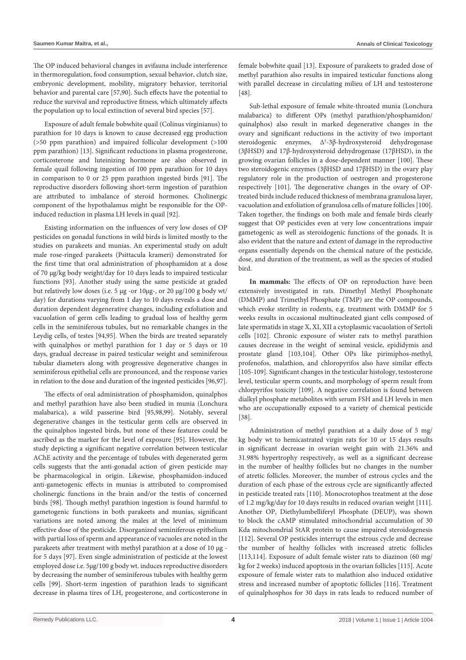The OP induced behavioral changes in avifauna include interference in thermoregulation, food consumption, sexual behavior, clutch size, embryonic development, mobility, migratory behavior, territorial behavior and parental care [57,90]. Such effects have the potential to reduce the survival and reproductive fitness, which ultimately affects the population up to local extinction of several bird species [57].

Exposure of adult female bobwhite quail (Colinus virginianus) to parathion for 10 days is known to cause decreased egg production (>50 ppm parathion) and impaired follicular development (>100 ppm parathion) [13]. Significant reductions in plasma progesterone, corticosterone and luteinizing hormone are also observed in female quail following ingestion of 100 ppm parathion for 10 days in comparison to 0 or 25 ppm parathion ingested birds [91]. The reproductive disorders following short-term ingestion of parathion are attributed to imbalance of steroid hormones. Cholinergic component of the hypothalamus might be responsible for the OPinduced reduction in plasma LH levels in quail [92].

Existing information on the influences of very low doses of OP pesticides on gonadal functions in wild birds is limited mostly to the studies on parakeets and munias. An experimental study on adult male rose-ringed parakeets (Psittacula krameri) demonstrated for the first time that oral administration of phosphamidon at a dose of 70 µg/kg body weight/day for 10 days leads to impaired testicular functions [93]. Another study using the same pesticide at graded but relatively low doses (i.e. 5 µg -or 10µg-, or 20 µg/100 g body wt/ day) for durations varying from 1 day to 10 days reveals a dose and duration dependent degenerative changes, including exfoliation and vacuolation of germ cells leading to gradual loss of healthy germ cells in the seminiferous tubules, but no remarkable changes in the Leydig cells, of testes [94,95]. When the birds are treated separately with quinalphos or methyl parathion for 1 day or 5 days or 10 days, gradual decrease in paired testicular weight and seminiferous tubular diameters along with progressive degenerative changes in seminiferous epithelial cells are pronounced, and the response varies in relation to the dose and duration of the ingested pesticides [96,97].

The effects of oral administration of phosphamidon, quinalphos and methyl parathion have also been studied in munia (Lonchura malabarica), a wild passerine bird [95,98,99]. Notably, several degenerative changes in the testicular germ cells are observed in the quinalphos ingested birds, but none of these features could be ascribed as the marker for the level of exposure [95]. However, the study depicting a significant negative correlation between testicular AChE activity and the percentage of tubules with degenerated germ cells suggests that the anti-gonadal action of given pesticide may be pharmacological in origin. Likewise, phosphamidon-induced anti-gametogenic effects in munias is attributed to compromised cholinergic functions in the brain and/or the testis of concerned birds [98]. Though methyl parathion ingestion is found harmful to gametogenic functions in both parakeets and munias, significant variations are noted among the males at the level of minimum effective dose of the pesticide. Disorganized seminiferous epithelium with partial loss of sperm and appearance of vacuoles are noted in the parakeets after treatment with methyl parathion at a dose of 10 µg for 5 days [97]. Even single administration of pesticide at the lowest employed dose i.e. 5µg/100 g body wt. induces reproductive disorders by decreasing the number of seminiferous tubules with healthy germ cells [99]. Short-term ingestion of parathion leads to significant decrease in plasma tires of LH, progesterone, and corticosterone in female bobwhite quail [13]. Exposure of parakeets to graded dose of methyl parathion also results in impaired testicular functions along with parallel decrease in circulating milieu of LH and testosterone [48].

Sub-lethal exposure of female white-throated munia (Lonchura malabarica) to different OPs (methyl parathion/phosphamidon/ quinalphos) also result in marked degenerative changes in the ovary and significant reductions in the activity of two important steroidogenic enzymes, Δ<sup>5</sup>-3β-hydroxysteroid dehydrogenase (3βHSD) and 17β-hydroxysteroid dehydrogenase (17βHSD), in the growing ovarian follicles in a dose-dependent manner [100]. These two steroidogenic enzymes (3βHSD and 17βHSD) in the ovary play regulatory role in the production of oestrogen and progesterone respectively [101]. The degenerative changes in the ovary of OPtreated birds include reduced thickness of membrana granulosa layer, vacuolation and exfoliation of granulosa cells of mature follicles [100]. Taken together, the findings on both male and female birds clearly suggest that OP pesticides even at very low concentrations impair gametogenic as well as steroidogenic functions of the gonads. It is also evident that the nature and extent of damage in the reproductive organs essentially depends on the chemical nature of the pesticide, dose, and duration of the treatment, as well as the species of studied bird.

**In mammals:** The effects of OP on reproduction have been extensively investigated in rats. Dimethyl Methyl Phosphonate (DMMP) and Trimethyl Phosphate (TMP) are the OP compounds, which evoke sterility in rodents, e.g. treatment with DMMP for 5 weeks results in occasional multinucleated giant cells composed of late spermatids in stage X, XI, XII a cytoplasmic vacuolation of Sertoli cells [102]. Chronic exposure of wister rats to methyl parathion causes decrease in the weight of seminal vesicle, epididymis and prostate gland [103,104]. Other OPs like pirimiphos-methyl, profenofos, malathion, and chloropyrifos also have similar effects [105-109]. Significant changes in the testicular histology, testosterone level, testicular sperm counts, and morphology of sperm result from chlorpyrifos toxicity [109]. A negative correlation is found between dialkyl phosphate metabolites with serum FSH and LH levels in men who are occupationally exposed to a variety of chemical pesticide [38].

Administration of methyl parathion at a daily dose of 5 mg/ kg body wt to hemicastrated virgin rats for 10 or 15 days results in significant decrease in ovarian weight gain with 21.36% and 31.98% hypertrophy respectively, as well as a significant decrease in the number of healthy follicles but no changes in the number of atretic follicles. Moreover, the number of estrous cycles and the duration of each phase of the estrous cycle are significantly affected in pesticide treated rats [110]. Monocrotophos treatment at the dose of 1.2 mg/kg/day for 10 days results in reduced ovarian weight [111]. Another OP, Diethylumbelliferyl Phosphate (DEUP), was shown to block the cAMP stimulated mitochondrial accumulation of 30 Kda mitochondrial StAR protein to cause impaired steroidogenesis [112]. Several OP pesticides interrupt the estrous cycle and decrease the number of healthy follicles with increased atretic follicles [113,114]. Exposure of adult female wister rats to diazinon (60 mg/ kg for 2 weeks) induced apoptosis in the ovarian follicles [115]. Acute exposure of female wister rats to malathion also induced oxidative stress and increased number of apoptotic follicles [116]. Treatment of quinalphosphos for 30 days in rats leads to reduced number of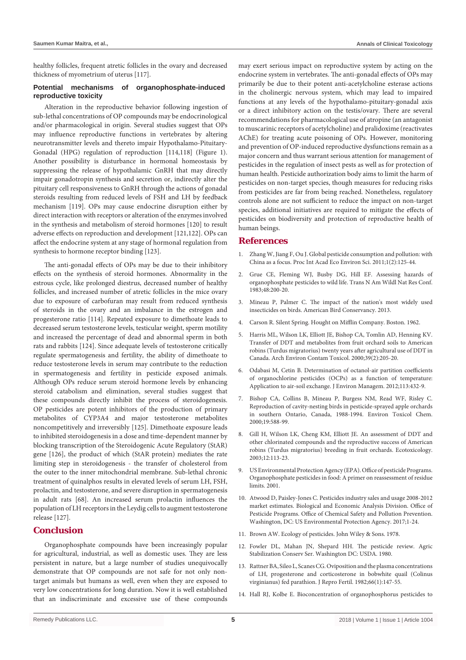healthy follicles, frequent atretic follicles in the ovary and decreased thickness of myometrium of uterus [117].

#### **Potential mechanisms of organophosphate-induced reproductive toxicity**

Alteration in the reproductive behavior following ingestion of sub-lethal concentrations of OP compounds may be endocrinological and/or pharmacological in origin. Several studies suggest that OPs may influence reproductive functions in vertebrates by altering neurotransmitter levels and thereto impair Hypothalamo-Pituitary-Gonadal (HPG) regulation of reproduction [114,118] (Figure 1). Another possibility is disturbance in hormonal homeostasis by suppressing the release of hypothalamic GnRH that may directly impair gonadotropin synthesis and secretion or, indirectly alter the pituitary cell responsiveness to GnRH through the actions of gonadal steroids resulting from reduced levels of FSH and LH by feedback mechanism [119]. OPs may cause endocrine disruption either by direct interaction with receptors or alteration of the enzymes involved in the synthesis and metabolism of steroid hormones [120] to result adverse effects on reproduction and development [121,122]. OPs can affect the endocrine system at any stage of hormonal regulation from synthesis to hormone receptor binding [123].

The anti-gonadal effects of OPs may be due to their inhibitory effects on the synthesis of steroid hormones. Abnormality in the estrous cycle, like prolonged diestrus, decreased number of healthy follicles, and increased number of atretic follicles in the mice ovary due to exposure of carbofuran may result from reduced synthesis of steroids in the ovary and an imbalance in the estrogen and progesterone ratio [114]. Repeated exposure to dimethoate leads to decreased serum testosterone levels, testicular weight, sperm motility and increased the percentage of dead and abnormal sperm in both rats and rabbits [124]. Since adequate levels of testosterone critically regulate spermatogenesis and fertility, the ability of dimethoate to reduce testosterone levels in serum may contribute to the reduction in spermatogenesis and fertility in pesticide exposed animals. Although OPs reduce serum steroid hormone levels by enhancing steroid catabolism and elimination, several studies suggest that these compounds directly inhibit the process of steroidogenesis. OP pesticides are potent inhibitors of the production of primary metabolites of CYP3A4 and major testosterone metabolites noncompetitively and irreversibly [125]. Dimethoate exposure leads to inhibited steroidogenesis in a dose and time-dependent manner by blocking transcription of the Steroidogenic Acute Regulatory (StAR) gene [126], the product of which (StAR protein) mediates the rate limiting step in steroidogenesis - the transfer of cholesterol from the outer to the inner mitochondrial membrane. Sub-lethal chronic treatment of quinalphos results in elevated levels of serum LH, FSH, prolactin, and testosterone, and severe disruption in spermatogenesis in adult rats [68]. An increased serum prolactin influences the population of LH receptors in the Leydig cells to augment testosterone release [127].

### **Conclusion**

Organophosphate compounds have been increasingly popular for agricultural, industrial, as well as domestic uses. They are less persistent in nature, but a large number of studies unequivocally demonstrate that OP compounds are not safe for not only nontarget animals but humans as well, even when they are exposed to very low concentrations for long duration. Now it is well established that an indiscriminate and excessive use of these compounds may exert serious impact on reproductive system by acting on the endocrine system in vertebrates. The anti-gonadal effects of OPs may primarily be due to their potent anti-acetylcholine esterase actions in the cholinergic nervous system, which may lead to impaired functions at any levels of the hypothalamo-pituitary-gonadal axis or a direct inhibitory action on the testis/ovary. There are several recommendations for pharmacological use of atropine (an antagonist to muscarinic receptors of acetylcholine) and pralidoxime (reactivates AChE) for treating acute poisoning of OPs. However, monitoring and prevention of OP-induced reproductive dysfunctions remain as a major concern and thus warrant serious attention for management of pesticides in the regulation of insect pests as well as for protection of human health. Pesticide authorization body aims to limit the harm of pesticides on non-target species, though measures for reducing risks from pesticides are far from being reached. Nonetheless, regulatory controls alone are not sufficient to reduce the impact on non-target species, additional initiatives are required to mitigate the effects of pesticides on biodiversity and protection of reproductive health of human beings.

## **References**

- 1. [Zhang W, Jiang F, Ou J. Global pesticide consumption and pollution: with](http://www.iaees.org/publications/journals/piaees/articles/2011-1%282%29/Global-pesticide-consumption-pollution.pdf)  [China as a focus. Proc Int Acad Eco Environ Sci. 2011;1\(2\):125-44.](http://www.iaees.org/publications/journals/piaees/articles/2011-1%282%29/Global-pesticide-consumption-pollution.pdf)
- 2. [Grue CE, Fleming WJ, Busby DG, Hill EF. Assessing hazards of](http://agris.fao.org/agris-search/search.do?recordID=US19840109642)  [organophosphate pesticides to wild life. Trans N Am Wildl Nat Res Conf.](http://agris.fao.org/agris-search/search.do?recordID=US19840109642)  [1983;48:200-20.](http://agris.fao.org/agris-search/search.do?recordID=US19840109642)
- 3. [Mineau P, Palmer C. The impact of the nation's most widely used](https://abcbirds.org/wp-content/uploads/2015/05/Neonic_FINAL.pdf)  [insecticides on birds. American Bird Conservancy. 2013.](https://abcbirds.org/wp-content/uploads/2015/05/Neonic_FINAL.pdf)
- 4. [Carson R. Silent Spring. Hought on Mifflin Company. Boston. 1962.](https://academic.oup.com/bioscience/article-abstract/13/1/41/49881?redirectedFrom=fulltext)
- 5. [Harris ML, Wilson LK, Elliott JE, Bishop CA, Tomlin AD, Henning KV.](https://www.ncbi.nlm.nih.gov/pubmed/10871424)  [Transfer of DDT and metabolites from fruit orchard soils to American](https://www.ncbi.nlm.nih.gov/pubmed/10871424)  [robins \(Turdus migratorius\) twenty years after agricultural use of DDT in](https://www.ncbi.nlm.nih.gov/pubmed/10871424)  [Canada. Arch Environ Contam Toxicol. 2000;39\(2\):205-20.](https://www.ncbi.nlm.nih.gov/pubmed/10871424)
- 6. [Odabasi M, Cetin B. Determination of octanol-air partition coefficients](https://www.ncbi.nlm.nih.gov/pubmed/23102644)  [of organochlorine pesticides \(OCPs\) as a function of temperature:](https://www.ncbi.nlm.nih.gov/pubmed/23102644)  [Application to air-soil exchange. J Environ Managem. 2012;113:432-9.](https://www.ncbi.nlm.nih.gov/pubmed/23102644)
- 7. [Bishop CA, Collins B, Mineau P, Burgess NM, Read WF, Risley C.](https://setac.onlinelibrary.wiley.com/doi/abs/10.1002/etc.5620190310)  [Reproduction of cavity‐nesting birds in pesticide‐sprayed apple orchards](https://setac.onlinelibrary.wiley.com/doi/abs/10.1002/etc.5620190310)  [in southern Ontario, Canada, 1988-1994. Environ Toxicol Chem.](https://setac.onlinelibrary.wiley.com/doi/abs/10.1002/etc.5620190310)  [2000;19:588-99.](https://setac.onlinelibrary.wiley.com/doi/abs/10.1002/etc.5620190310)
- 8. [Gill H, Wilson LK, Cheng KM, Elliott JE. An assessment of DDT and](https://www.ncbi.nlm.nih.gov/pubmed/12739861)  [other chlorinated compounds and the reproductive success of American](https://www.ncbi.nlm.nih.gov/pubmed/12739861)  [robins \(Turdus migratorius\) breeding in fruit orchards. Ecotoxicology.](https://www.ncbi.nlm.nih.gov/pubmed/12739861)  [2003;12:113-23.](https://www.ncbi.nlm.nih.gov/pubmed/12739861)
- US Environmental Protection Agency (EPA). Office of pesticide Programs. Organophosphate pesticides in food: A primer on reassessment of residue limits. 2001.
- 10. [Atwood D, Paisley-Jones C. Pesticides industry sales and usage 2008-2012](https://www.epa.gov/sites/production/files/2017-01/documents/pesticides-industry-sales-usage-2016_0.pdf)  [market estimates. Biological and Economic Analysis Division. Office of](https://www.epa.gov/sites/production/files/2017-01/documents/pesticides-industry-sales-usage-2016_0.pdf)  [Pesticide Programs. Office of Chemical Safety and Pollution Prevention.](https://www.epa.gov/sites/production/files/2017-01/documents/pesticides-industry-sales-usage-2016_0.pdf)  [Washington, DC: US Environmental Protection Agency. 2017;1-24.](https://www.epa.gov/sites/production/files/2017-01/documents/pesticides-industry-sales-usage-2016_0.pdf)
- 11. [Brown AW. Ecology of pesticides. John Wiley & Sons. 1978.](https://www.cabdirect.org/cabdirect/abstract/19780556197)
- 12. Fowler DL, Mahan JN, Shepard HH. The pesticide review. Agric Stabilization Conserv Ser. Washington DC: USDA. 1980.
- 13. [Rattner BA, Sileo L, Scanes CG. Oviposition and the plasma concentrations](https://www.ncbi.nlm.nih.gov/pubmed/7120178)  [of LH, progesterone and corticosterone in bobwhite quail \(Colinus](https://www.ncbi.nlm.nih.gov/pubmed/7120178)  [virginianus\) fed parathion. J Repro Fertil. 1982;66\(1\):147-55.](https://www.ncbi.nlm.nih.gov/pubmed/7120178)
- 14. [Hall RJ, Kolbe E. Bioconcentration of organophosphorus pesticides to](https://www.ncbi.nlm.nih.gov/pubmed/6968357)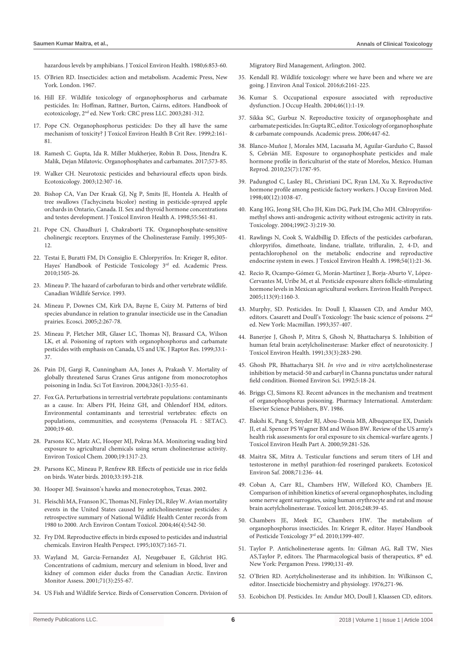[hazardous levels by amphibians. J Toxicol Environ Health. 1980;6:853-60.](https://www.ncbi.nlm.nih.gov/pubmed/6968357)

- 15. [O'Brien RD. Insecticides: action and metabolism. Academic Press, New](https://books.google.co.in/books?hl=en&lr=&id=wuBXAwAAQBAJ&oi=fnd&pg=PP1&dq=Insecticides:+action+and+metabolism&ots=NEtKu3VA7U&sig=Osde_suOkmk1PrSchVNEx00Etjc#v=onepage&q=Insecticides%3A action and metabolism&f=false)  [York. London. 1967.](https://books.google.co.in/books?hl=en&lr=&id=wuBXAwAAQBAJ&oi=fnd&pg=PP1&dq=Insecticides:+action+and+metabolism&ots=NEtKu3VA7U&sig=Osde_suOkmk1PrSchVNEx00Etjc#v=onepage&q=Insecticides%3A action and metabolism&f=false)
- 16. [Hill EF. Wildlife toxicology of organophosphorus and carbamate](https://books.google.co.in/books?hl=en&lr=&id=6U3MBQAAQBAJ&oi=fnd&pg=PA281&dq=Wildlife+toxicology+of+organophosphorus+and+carbamate+pesticides&ots=lVsZ9uWt6Z&sig=Fb6ZFyCZ4eBqcIaZxwNJ5S1KIKw#v=onepage&q=Wildlife toxicology of organophosphorus and )  [pesticides. In: Hoffman, Rattner, Burton, Cairns, editors. Handbook of](https://books.google.co.in/books?hl=en&lr=&id=6U3MBQAAQBAJ&oi=fnd&pg=PA281&dq=Wildlife+toxicology+of+organophosphorus+and+carbamate+pesticides&ots=lVsZ9uWt6Z&sig=Fb6ZFyCZ4eBqcIaZxwNJ5S1KIKw#v=onepage&q=Wildlife toxicology of organophosphorus and )  [ecotoxicology, 2nd ed. New York: CRC press LLC. 2003;281-312.](https://books.google.co.in/books?hl=en&lr=&id=6U3MBQAAQBAJ&oi=fnd&pg=PA281&dq=Wildlife+toxicology+of+organophosphorus+and+carbamate+pesticides&ots=lVsZ9uWt6Z&sig=Fb6ZFyCZ4eBqcIaZxwNJ5S1KIKw#v=onepage&q=Wildlife toxicology of organophosphorus and )
- 17. [Pope CN. Organophosphorus pesticides: Do they all have the same](https://www.ncbi.nlm.nih.gov/pubmed/10230392)  [mechanism of toxicity? J Toxicol Environ Health B Crit Rev. 1999;2:161-](https://www.ncbi.nlm.nih.gov/pubmed/10230392) [81.](https://www.ncbi.nlm.nih.gov/pubmed/10230392)
- 18. [Ramesh C. Gupta, Ida R. Miller Mukherjee, Robin B. Doss, Jitendra K.](https://www.sciencedirect.com/science/article/pii/B9780128042397000354)  [Malik, Dejan Milatovic. Organophosphates and carbamates. 2017;573-85.](https://www.sciencedirect.com/science/article/pii/B9780128042397000354)
- 19. [Walker CH. Neurotoxic pesticides and behavioural effects upon birds.](https://www.ncbi.nlm.nih.gov/pubmed/12739877)  [Ecotoxicology. 2003;12:307-16.](https://www.ncbi.nlm.nih.gov/pubmed/12739877)
- 20. [Bishop CA, Van Der Kraak GJ, Ng P, Smits JE, Hontela A. Health of](https://www.ncbi.nlm.nih.gov/pubmed/9885998)  [tree swallows \(Tachycineta bicolor\) nesting in pesticide-sprayed apple](https://www.ncbi.nlm.nih.gov/pubmed/9885998)  [orchards in Ontario, Canada. II. Sex and thyroid hormone concentrations](https://www.ncbi.nlm.nih.gov/pubmed/9885998)  [and testes development. J Toxicol Environ Health A. 1998;55:561-81.](https://www.ncbi.nlm.nih.gov/pubmed/9885998)
- 21. [Pope CN, Chaudhuri J, Chakraborti TK. Organophosphate-sensitive](https://link.springer.com/chapter/10.1007/978-1-4899-1051-6_63)  [cholinergic receptors. Enzymes of the Cholinesterase Family. 1995;305-](https://link.springer.com/chapter/10.1007/978-1-4899-1051-6_63) [12.](https://link.springer.com/chapter/10.1007/978-1-4899-1051-6_63)
- 22. [Testai E, Buratti FM, Di Consiglio E. Chlorpyrifos. In: Krieger R, editor.](https://www.elsevier.com/books/hayes-handbook-of-pesticide-toxicology/krieger/978-0-08-092201-0)  Hayes' Handbook of Pesticide Toxicology 3rd ed. Academic Press. [2010;1505-26.](https://www.elsevier.com/books/hayes-handbook-of-pesticide-toxicology/krieger/978-0-08-092201-0)
- 23. [Mineau P. The hazard of carbofuran to birds and other vertebrate wildlife.](https://books.google.co.in/books/about/The_Hazard_of_Carbofuran_to_Birds_and_Ot.html?id=m-xWuAAACAAJ&redir_esc=y)  [Canadian Wildlife Service. 1993.](https://books.google.co.in/books/about/The_Hazard_of_Carbofuran_to_Birds_and_Ot.html?id=m-xWuAAACAAJ&redir_esc=y)
- 24. [Mineau P, Downes CM, Kirk DA, Bayne E, Csizy M. Patterns of bird](http://www.bioone.org/doi/abs/10.2980/i1195-6860-12-2-267.1)  [species abundance in relation to granular insecticide use in the Canadian](http://www.bioone.org/doi/abs/10.2980/i1195-6860-12-2-267.1)  [prairies. Ecosci. 2005;2:267-78.](http://www.bioone.org/doi/abs/10.2980/i1195-6860-12-2-267.1)
- 25. [Mineau P, Fletcher MR, Glaser LC, Thomas NJ, Brassard CA, Wilson](https://sora.unm.edu/node/53720)  [LK, et al. Poisoning of raptors with organophosphorus and carbamate](https://sora.unm.edu/node/53720)  [pesticides with emphasis on Canada, US and UK. J Raptor Res. 1999;33:1-](https://sora.unm.edu/node/53720) [37.](https://sora.unm.edu/node/53720)
- 26. [Pain DJ, Gargi R, Cunningham AA, Jones A, Prakash V. Mortality of](https://www.sciencedirect.com/science/article/pii/S0048969703006995)  [globally threatened Sarus Cranes Grus antigone from monocrotophos](https://www.sciencedirect.com/science/article/pii/S0048969703006995)  [poisoning in India. Sci Tot Environ. 2004;326\(1-3\):55-61.](https://www.sciencedirect.com/science/article/pii/S0048969703006995)
- 27. Fox GA. Perturbations in terrestrial vertebrate populations: contaminants as a cause. In: Albers PH, Heinz GH, and Ohlendorf HM, editors. Environmental contaminants and terrestrial vertebrates: effects on populations, communities, and ecosystems (Pensacola FL : SETAC). 2000;19-60.
- 28. [Parsons KC, Matz AC, Hooper MJ, Pokras MA. Monitoring wading bird](https://setac.onlinelibrary.wiley.com/doi/abs/10.1002/etc.5620190514)  [exposure to agricultural chemicals using serum cholinesterase activity.](https://setac.onlinelibrary.wiley.com/doi/abs/10.1002/etc.5620190514)  [Environ Toxicol Chem. 2000;19:1317-23.](https://setac.onlinelibrary.wiley.com/doi/abs/10.1002/etc.5620190514)
- 29. [Parsons KC, Mineau P, Renfrew RB. Effects of pesticide use in rice fields](http://www.bioone.org/doi/abs/10.1675/063.033.s115)  [on birds. Water birds. 2010;33:193-218.](http://www.bioone.org/doi/abs/10.1675/063.033.s115)
- 30. Hooper MJ. Swainson's hawks and monocrotophos, Texas. 2002.
- 31. [Fleischli MA, Franson JC, Thomas NJ, Finley DL, Riley W. Avian mortality](https://www.ncbi.nlm.nih.gov/pubmed/15253053)  [events in the United States caused by anticholinesterase pesticides: A](https://www.ncbi.nlm.nih.gov/pubmed/15253053)  [retrospective summary of National Wildlife Health Center records from](https://www.ncbi.nlm.nih.gov/pubmed/15253053)  [1980 to 2000. Arch Environ Contam Toxicol. 2004;46\(4\):542-50.](https://www.ncbi.nlm.nih.gov/pubmed/15253053)
- 32. [Fry DM. Reproductive effects in birds exposed to pesticides and industrial](https://www.ncbi.nlm.nih.gov/pmc/articles/PMC1518881/)  [chemicals. Environ Health Perspect. 1995;103\(7\):165-71.](https://www.ncbi.nlm.nih.gov/pmc/articles/PMC1518881/)
- 33. [Wayland M, Garcia-Fernandez AJ, Neugebauer E, Gilchrist HG.](https://link.springer.com/article/10.1023/A:1011850000360)  [Concentrations of cadmium, mercury and selenium in blood, liver and](https://link.springer.com/article/10.1023/A:1011850000360)  [kidney of common eider ducks from the Canadian Arctic. Environ](https://link.springer.com/article/10.1023/A:1011850000360)  [Monitor Assess. 2001;71\(3\):255-67.](https://link.springer.com/article/10.1023/A:1011850000360)
- 34. [US Fish and Wildlife Service. Birds of Conservation Concern. Division of](https://www.fws.gov/migratorybirds/pdf/grants/BirdsofConservationConcern2008.pdf)

[Migratory Bird Management, Arlington. 2002.](https://www.fws.gov/migratorybirds/pdf/grants/BirdsofConservationConcern2008.pdf)

- 35. [Kendall RJ. Wildlife toxicology: where we have been and where we are](https://www.omicsonline.org/open-access/wildlife-toxicology-where-we-have-been-and-where-we-are-going-2161-0525-1000348.php?aid=67222)  [going. J Environ Anal Toxicol. 2016;6:2161-225.](https://www.omicsonline.org/open-access/wildlife-toxicology-where-we-have-been-and-where-we-are-going-2161-0525-1000348.php?aid=67222)
- 36. [Kumar S. Occupational exposure associated with reproductive](https://www.ncbi.nlm.nih.gov/pubmed/14960825)  [dysfunction. J Occup Health. 2004;46\(1\):1-19.](https://www.ncbi.nlm.nih.gov/pubmed/14960825)
- 37. [Sikka SC, Gurbuz N. Reproductive toxicity of organophosphate and](https://www.sciencedirect.com/science/article/pii/B9780120885237500338)  [carbamate pesticides. In: Gupta RC, editor. Toxicology of organophosphate](https://www.sciencedirect.com/science/article/pii/B9780120885237500338)  [& carbamate compounds. Academic press. 2006;447-62.](https://www.sciencedirect.com/science/article/pii/B9780120885237500338)
- 38. [Blanco-Muñoz J, Morales MM, Lacasaña M, Aguilar-Garduño C, Bassol](https://www.ncbi.nlm.nih.gov/pubmed/20435691)  [S, Cebrián ME. Exposure to organophosphate pesticides and male](https://www.ncbi.nlm.nih.gov/pubmed/20435691)  [hormone profile in floriculturist of the state of Morelos, Mexico. Human](https://www.ncbi.nlm.nih.gov/pubmed/20435691)  [Reprod. 2010;25\(7\):1787-95.](https://www.ncbi.nlm.nih.gov/pubmed/20435691)
- 39. [Padungtod C, Lasley BL, Christiani DC, Ryan LM, Xu X. Reproductive](https://www.ncbi.nlm.nih.gov/pubmed/9871879)  [hormone profile among pesticide factory workers. J Occup Environ Med.](https://www.ncbi.nlm.nih.gov/pubmed/9871879)  [1998;40\(12\):1038-47.](https://www.ncbi.nlm.nih.gov/pubmed/9871879)
- 40. [Kang HG, Jeong SH, Cho JH, Kim DG, Park JM, Cho MH. Chlropyrifos](https://www.ncbi.nlm.nih.gov/pubmed/15147795)[methyl shows anti-androgenic activity without estrogenic activity in rats.](https://www.ncbi.nlm.nih.gov/pubmed/15147795)  [Toxicology. 2004;199\(2-3\):219-30.](https://www.ncbi.nlm.nih.gov/pubmed/15147795)
- 41. [Rawlings N, Cook S, Waldbillig D. Effects of the pesticides carbofuran,](https://www.ncbi.nlm.nih.gov/pubmed/9588346)  [chlorpyrifos, dimethoate, lindane, triallate, trifluralin, 2, 4-D, and](https://www.ncbi.nlm.nih.gov/pubmed/9588346)  [pentachlorophenol on the metabolic endocrine and reproductive](https://www.ncbi.nlm.nih.gov/pubmed/9588346)  [endocrine system in ewes. J Toxicol Environ Health A. 1998;54\(1\):21-36.](https://www.ncbi.nlm.nih.gov/pubmed/9588346)
- 42. [Recio R, Ocampo-Gómez G, Morán-Martínez J, Borja-Aburto V, López-](https://www.ncbi.nlm.nih.gov/pubmed/16140621)[Cervantes M, Uribe M, et al. Pesticide exposure alters follicle-stimulating](https://www.ncbi.nlm.nih.gov/pubmed/16140621)  [hormone levels in Mexican agricultural workers. Environ Health Perspect.](https://www.ncbi.nlm.nih.gov/pubmed/16140621)  [2005;113\(9\):1160-3.](https://www.ncbi.nlm.nih.gov/pubmed/16140621)
- 43. [Murphy, SD. Pesticides. In: Doull J, Klaassen CD, and Amdur MO,](https://www.ncbi.nlm.nih.gov/nlmcatalog/8008057)  editors. Casarett and Doull's Toxicology: The basic science of poisons. 2<sup>nd</sup> [ed. New York: Macmillan. 1993;357-407.](https://www.ncbi.nlm.nih.gov/nlmcatalog/8008057)
- 44. [Banerjee J, Ghosh P, Mitra S, Ghosh N, Bhattacharya S. Inhibition of](https://www.ncbi.nlm.nih.gov/pubmed/1906943)  [human fetal brain acetylcholinesterase: Marker effect of neurotoxicity. J](https://www.ncbi.nlm.nih.gov/pubmed/1906943)  [Toxicol Environ Health. 1991;33\(3\):283-290.](https://www.ncbi.nlm.nih.gov/pubmed/1906943)
- 45. [Ghosh PR, Bhattacharya SH.](https://www.ncbi.nlm.nih.gov/pubmed/1586462) *In vivo* and *in vitro* acetylcholinesterase [inhibition by metacid-50 and carbaryl in Channa punctatus under natural](https://www.ncbi.nlm.nih.gov/pubmed/1586462)  [field condition. Biomed Environ Sci. 1992;5:18-24.](https://www.ncbi.nlm.nih.gov/pubmed/1586462)
- 46. Briggs CJ, Simons KJ. Recent advances in the mechanism and treatment of organophosphorus poisoning. Pharmacy International. Amsterdam: Elsevier Science Publishers, BV. 1986.
- 47. [Bakshi K, Pang S, Snyder RJ, Abou-Donia MB, Albuquerque EX, Daniels](https://www.ncbi.nlm.nih.gov/pubmed/25032471)  [JI, et al. Spencer PS Wagner BM and Wilson BW. Review of the US army's](https://www.ncbi.nlm.nih.gov/pubmed/25032471)  [health risk assessments for oral exposure to six chemical-warfare agents. J](https://www.ncbi.nlm.nih.gov/pubmed/25032471)  [Toxicol Environ Healh Part A. 2000;59:281-526.](https://www.ncbi.nlm.nih.gov/pubmed/25032471)
- 48. [Maitra SK, Mitra A. Testicular functions and serum titers of LH and](https://www.ncbi.nlm.nih.gov/pubmed/18029014)  [testosterone in methyl parathion-fed roseringed parakeets. Ecotoxicol](https://www.ncbi.nlm.nih.gov/pubmed/18029014)  [Environ Saf. 2008;71:236- 44.](https://www.ncbi.nlm.nih.gov/pubmed/18029014)
- 49. [Coban A, Carr RL, Chambers HW, Willeford KO, Chambers JE.](https://www.ncbi.nlm.nih.gov/pubmed/26965078)  [Comparison of inhibition kinetics of several organophosphates, including](https://www.ncbi.nlm.nih.gov/pubmed/26965078)  [some nerve agent surrogates, using human erythrocyte and rat and mouse](https://www.ncbi.nlm.nih.gov/pubmed/26965078)  [brain acetylcholinesterase. Toxicol lett. 2016;248:39-45.](https://www.ncbi.nlm.nih.gov/pubmed/26965078)
- 50. [Chambers JE, Meek EC, Chambers HW. The metabolism of](https://www.sciencedirect.com/science/article/pii/B9780123743671000653)  [organophosphorus insecticides. In: Krieger R, editor. Hayes' Handbook](https://www.sciencedirect.com/science/article/pii/B9780123743671000653)  [of Pesticide Toxicology 3rd ed. 2010;1399-407.](https://www.sciencedirect.com/science/article/pii/B9780123743671000653)
- 51. Taylor P. Anticholinesterase agents. In: Gilman AG, Rall TW, Nies AS, Taylor P, editors. The Pharmacological basis of therapeutics, 8<sup>th</sup> ed. New York: Pergamon Press. 1990;131-49.
- 52. [O'Brien RD. Acetylcholinesterase and its inhibition. In: Wilkinson C,](https://link.springer.com/chapter/10.1007/978-1-4899-2212-0_7)  [editor. Insecticide biochemistry and physiology. 1976;271-96.](https://link.springer.com/chapter/10.1007/978-1-4899-2212-0_7)
- 53. [Ecobichon DJ. Pesticides. In: Amdur MO, Doull J, Klaassen CD, editors.](https://jawaidzai.files.wordpress.com/2013/09/casarett_and_doull__s_toxicology-the_basic_science_of_poisons_7th_edition_2008.pdf)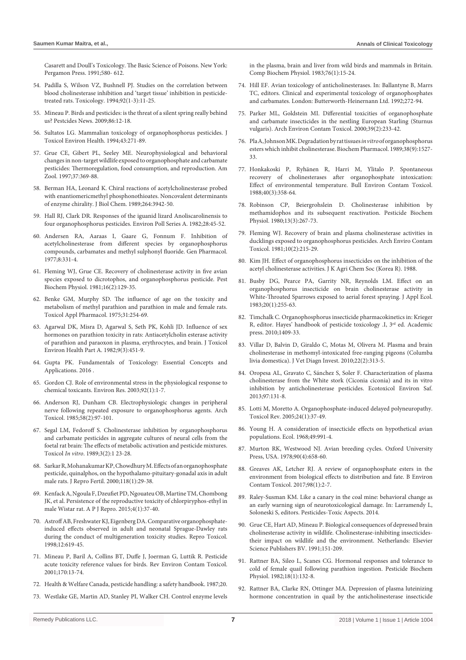[Casarett and Doull's Toxicology. The Basic Science of Poisons. New York:](https://jawaidzai.files.wordpress.com/2013/09/casarett_and_doull__s_toxicology-the_basic_science_of_poisons_7th_edition_2008.pdf)  [Pergamon Press. 1991;580- 612.](https://jawaidzai.files.wordpress.com/2013/09/casarett_and_doull__s_toxicology-the_basic_science_of_poisons_7th_edition_2008.pdf)

- 54. [Padilla S, Wilson VZ, Bushnell PJ. Studies on the correlation between](https://www.ncbi.nlm.nih.gov/pubmed/7524196)  [blood cholinesterase inhibition and 'target tissue' inhibition in pesticide](https://www.ncbi.nlm.nih.gov/pubmed/7524196)[treated rats. Toxicology. 1994;92\(1-3\):11-25.](https://www.ncbi.nlm.nih.gov/pubmed/7524196)
- 55. [Mineau P. Birds and pesticides: is the threat of a silent spring really behind](https://www.cabdirect.org/cabdirect/abstract/20093361495)  [us? Pestcides News. 2009;86:12-18.](https://www.cabdirect.org/cabdirect/abstract/20093361495)
- 56. [Sultatos LG. Mammalian toxicology of organophosphorus pesticides. J](https://www.ncbi.nlm.nih.gov/pubmed/7966438)  [Toxicol Environ Health. 1994;43:271-89.](https://www.ncbi.nlm.nih.gov/pubmed/7966438)
- 57. [Grue CE, Gibert PL, Seeley ME. Neurophysiological and behavioral](https://www.jstor.org/stable/3884019?seq=1#page_scan_tab_contents)  [changes in non-target wildlife exposed to organophosphate and carbamate](https://www.jstor.org/stable/3884019?seq=1#page_scan_tab_contents)  [pesticides: Thermoregulation, food consumption, and reproduction. Am](https://www.jstor.org/stable/3884019?seq=1#page_scan_tab_contents)  [Zool. 1997;37:369-88.](https://www.jstor.org/stable/3884019?seq=1#page_scan_tab_contents)
- 58. Berman HA, Leonard K. Chiral reactions of acetylcholinesterase probed with enantiomericmethyl phosphonothioates. Noncovalent determinants of enzyme chirality. J Biol Chem. 1989;264:3942-50.
- 59. [Hall RJ, Clark DR. Responses of the iguanid lizard Anoliscarolinensis to](https://www.sciencedirect.com/science/article/pii/0143147182900447)  [four organophosphorus pesticides. Environ Poll Series A. 1982;28:45-52.](https://www.sciencedirect.com/science/article/pii/0143147182900447)
- 60. Andersen RA, Aaraas I, Gaare G, Fonnum F. Inhibition of acetylcholinesterase from different species by organophosphorus compounds, carbamates and methyl sulphonyl fluoride. Gen Pharmacol. 1977;8:331-4.
- 61. [Fleming WJ, Grue CE. Recovery of cholinesterase activity in five avian](https://www.sciencedirect.com/science/article/abs/pii/0048357581900456)  [species exposed to dicrotophos, and organophosphorus pesticide. Pest](https://www.sciencedirect.com/science/article/abs/pii/0048357581900456)  [Biochem Physiol. 1981;16\(2\):129-35.](https://www.sciencedirect.com/science/article/abs/pii/0048357581900456)
- 62. [Benke GM, Murphy SD. The influence of age on the toxicity and](https://www.sciencedirect.com/science/article/pii/0041008X75901611)  [metabolism of methyl parathion and parathion in male and female rats.](https://www.sciencedirect.com/science/article/pii/0041008X75901611)  [Toxicol Appl Pharmacol. 1975;31:254-69.](https://www.sciencedirect.com/science/article/pii/0041008X75901611)
- 63. [Agarwal DK, Misra D, Agarwal S, Seth PK, Kohli JD. Influence of sex](https://www.ncbi.nlm.nih.gov/pubmed/7097796)  [hormones on parathion toxicity in rats: Antiacetylcholin esterase activity](https://www.ncbi.nlm.nih.gov/pubmed/7097796)  [of parathion and paraoxon in plasma, erythrocytes, and brain. J Toxicol](https://www.ncbi.nlm.nih.gov/pubmed/7097796)  [Environ Health Part A. 1982;9\(3\):451-9.](https://www.ncbi.nlm.nih.gov/pubmed/7097796)
- 64. [Gupta PK. Fundamentals of Toxicology: Essential Concepts and](https://searchworks.stanford.edu/view/11840938)  [Applications. 2016 .](https://searchworks.stanford.edu/view/11840938)
- 65. [Gordon CJ. Role of environmental stress in the physiological response to](https://www.ncbi.nlm.nih.gov/pubmed/12706749)  [chemical toxicants. Environ Res. 2003;92\(1\):1-7.](https://www.ncbi.nlm.nih.gov/pubmed/12706749)
- 66. [Anderson RJ, Dunham CB. Electrophysiologic changes in peripheral](https://www.ncbi.nlm.nih.gov/pubmed/3841477)  [nerve following repeated exposure to organophosphorus agents. Arch](https://www.ncbi.nlm.nih.gov/pubmed/3841477)  [Toxicol. 1985;58\(2\):97-101.](https://www.ncbi.nlm.nih.gov/pubmed/3841477)
- 67. [Segal LM, Fedoroff S. Cholinesterase inhibition by organophosphorus](https://www.ncbi.nlm.nih.gov/pubmed/20702309)  [and carbamate pesticides in aggregate cultures of neural cells from the](https://www.ncbi.nlm.nih.gov/pubmed/20702309)  [foetal rat brain: The effects of metabolic activation and pesticide mixtures.](https://www.ncbi.nlm.nih.gov/pubmed/20702309)  Toxicol *In vitro*[. 1989;3\(2\):1 23-28.](https://www.ncbi.nlm.nih.gov/pubmed/20702309)
- 68. [Sarkar R, Mohanakumar KP, Chowdhury M. Effects of an organophosphate](https://www.ncbi.nlm.nih.gov/pubmed/10793623)  [pesticide, quinalphos, on the hypothalamo-pituitary-gonadal axis in adult](https://www.ncbi.nlm.nih.gov/pubmed/10793623)  [male rats. J Repro Fertil. 2000;118\(1\):29-38.](https://www.ncbi.nlm.nih.gov/pubmed/10793623)
- 69. [Kenfack A, Ngoula F, Dzeufiet PD, Ngouateu OB, Martine TM, Chombong](https://www.sciencedirect.com/science/article/pii/S2305050014600555)  [JK, et al. Persistence of the reproductive toxicity of chlorpiryphos-ethyl in](https://www.sciencedirect.com/science/article/pii/S2305050014600555)  [male Wistar rat. A P J Repro. 2015;4\(1\):37-40.](https://www.sciencedirect.com/science/article/pii/S2305050014600555)
- 70. [Astroff AB, Freshwater KJ, Eigenberg DA. Comparative organophosphate](https://www.ncbi.nlm.nih.gov/pubmed/9875697)[induced effects observed in adult and neonatal Sprague-Dawley rats](https://www.ncbi.nlm.nih.gov/pubmed/9875697)  [during the conduct of multigeneration toxicity studies. Repro Toxicol.](https://www.ncbi.nlm.nih.gov/pubmed/9875697)  [1998;12:619-45.](https://www.ncbi.nlm.nih.gov/pubmed/9875697)
- 71. [Mineau P, Baril A, Collins BT, Duffe J, Joerman G, Luttik R. Pesticide](https://www.ncbi.nlm.nih.gov/pubmed/11370382)  [acute toxicity reference values for birds. Rev Environ Contam Toxicol.](https://www.ncbi.nlm.nih.gov/pubmed/11370382)  [2001;170:13-74.](https://www.ncbi.nlm.nih.gov/pubmed/11370382)
- 72. Health & Welfare Canada, pesticide handling: a safety handbook. 1987;20.
- 73. [Westlake GE, Martin AD, Stanley PI, Walker CH. Control enzyme levels](https://www.ncbi.nlm.nih.gov/pubmed/6139242)

[in the plasma, brain and liver from wild birds and mammals in Britain.](https://www.ncbi.nlm.nih.gov/pubmed/6139242)  [Comp Biochem Physiol. 1983;76\(1\):15-24.](https://www.ncbi.nlm.nih.gov/pubmed/6139242)

- 74. [Hill EF. Avian toxicology of anticholinesterases. In: Ballantyne B, Marrs](https://www.sciencedirect.com/science/book/9780750602716)  [TC, editors. Clinical and experimental toxicology of organophosphates](https://www.sciencedirect.com/science/book/9780750602716)  [and carbamates. London: Butterworth-Heinernann Ltd. 1992;272-94.](https://www.sciencedirect.com/science/book/9780750602716)
- 75. [Parker ML, Goldstein MI. Differential toxicities of organophosphate](https://www.ncbi.nlm.nih.gov/pubmed/10871426)  [and carbamate insecticides in the nestling European Starling \(Sturnus](https://www.ncbi.nlm.nih.gov/pubmed/10871426)  [vulgaris\). Arch Environ Contam Toxicol. 2000;39\(2\):233-42.](https://www.ncbi.nlm.nih.gov/pubmed/10871426)
- 76. [Pla A, Johnson MK. Degradation by rat tissues](https://www.sciencedirect.com/science/article/abs/pii/0006295289901937) *in vitro* of organophosphorus [esters which inhibit cholinesterase. Biochem Pharmacol. 1989;38\(9\):1527-](https://www.sciencedirect.com/science/article/abs/pii/0006295289901937) [33.](https://www.sciencedirect.com/science/article/abs/pii/0006295289901937)
- 77. [Honkakoski P, Ryhänen R, Harri M, Ylitalo P. Spontaneous](https://www.ncbi.nlm.nih.gov/pubmed/3370329)  [recovery of cholinesterases after organophosphate intoxication:](https://www.ncbi.nlm.nih.gov/pubmed/3370329)  [Effect of environmental temperature. Bull Environ Contam Toxicol.](https://www.ncbi.nlm.nih.gov/pubmed/3370329)  [1988;40\(3\):358-64.](https://www.ncbi.nlm.nih.gov/pubmed/3370329)
- 78. [Robinson CP, Beiergrohslein D. Cholinesterase inhibition by](https://www.sciencedirect.com/science/article/abs/pii/004835758090125X)  [methamidophos and its subsequent reactivation. Pesticide Biochem](https://www.sciencedirect.com/science/article/abs/pii/004835758090125X)  [Physiol. 1980;13\(3\):267-73.](https://www.sciencedirect.com/science/article/abs/pii/004835758090125X)
- 79. [Fleming WJ. Recovery of brain and plasma cholinesterase activities in](https://www.ncbi.nlm.nih.gov/pubmed/7224673)  [ducklings exposed to organophosphorus pesticides. Arch Enviro Contam](https://www.ncbi.nlm.nih.gov/pubmed/7224673)  [Toxicol. 1981;10\(2\):215-29.](https://www.ncbi.nlm.nih.gov/pubmed/7224673)
- 80. [Kim JH. Effect of organophosphorus insecticides on the inhibition of the](http://agris.fao.org/agris-search/search.do?recordID=KR8935279)  [acetyl cholinesterase activities. J K Agri Chem Soc \(Korea R\). 1988.](http://agris.fao.org/agris-search/search.do?recordID=KR8935279)
- 81. [Busby DG, Pearce PA, Garrity NR, Reynolds LM. Effect on an](https://www.jstor.org/stable/2403391?seq=1#page_scan_tab_contents)  [organophosphorus insecticide on brain cholinesterase activity in](https://www.jstor.org/stable/2403391?seq=1#page_scan_tab_contents)  [White-Throated Sparrows exposed to aerial forest spraying. J Appl Ecol.](https://www.jstor.org/stable/2403391?seq=1#page_scan_tab_contents)  [1983;20\(1\):255-63.](https://www.jstor.org/stable/2403391?seq=1#page_scan_tab_contents)
- 82. [Timchalk C. Organophosphorus insecticide pharmacokinetics in: Krieger](https://www.sciencedirect.com/science/article/pii/B9780123743671000665)  R, editor. Hayes' handbook of pesticide toxicology .I, 3<sup>rd</sup> ed. Academic [press. 2010;1409-33.](https://www.sciencedirect.com/science/article/pii/B9780123743671000665)
- 83. [Villar D, Balvin D, Giraldo C, Motas M, Olivera M. Plasma and brain](https://www.ncbi.nlm.nih.gov/pubmed/20224101)  [cholinesterase in methomyl-intoxicated free-ranging pigeons \(Columba](https://www.ncbi.nlm.nih.gov/pubmed/20224101)  [livia domestica\). J Vet Diagn Invest. 2010;22\(2\):313-5.](https://www.ncbi.nlm.nih.gov/pubmed/20224101)
- 84. [Oropesa AL, Gravato C, Sánchez S, Soler F. Characterization of plasma](https://www.ncbi.nlm.nih.gov/pubmed/23962622)  [cholinesterase from the White stork \(Ciconia ciconia\) and its in vitro](https://www.ncbi.nlm.nih.gov/pubmed/23962622)  [inhibition by anticholinesterase pesticides. Ecotoxicol Environ Saf.](https://www.ncbi.nlm.nih.gov/pubmed/23962622)  [2013;97:131-8.](https://www.ncbi.nlm.nih.gov/pubmed/23962622)
- 85. [Lotti M, Moretto A. Organophosphate-induced delayed polyneuropathy.](https://www.ncbi.nlm.nih.gov/pubmed/16042503)  [Toxicol Rev. 2005;24\(1\):37-49.](https://www.ncbi.nlm.nih.gov/pubmed/16042503)
- 86. [Young H. A consideration of insecticide effects on hypothetical avian](https://esajournals.onlinelibrary.wiley.com/doi/abs/10.2307/1936550)  [populations. Ecol. 1968;49:991-4.](https://esajournals.onlinelibrary.wiley.com/doi/abs/10.2307/1936550)
- 87. [Murton RK, Westwood NJ. Avian breeding cycles. Oxford University](http://www.jstor.org/stable/4161148?seq=1#page_scan_tab_contents)  [Press, USA. 1978;90\(4\):658-60.](http://www.jstor.org/stable/4161148?seq=1#page_scan_tab_contents)
- 88. [Greaves AK, Letcher RJ. A review of organophosphate esters in the](https://www.ncbi.nlm.nih.gov/pubmed/27510993)  [environment from biological effects to distribution and fate. B Environ](https://www.ncbi.nlm.nih.gov/pubmed/27510993)  [Contam Toxicol. 2017;98\(1\):2-7.](https://www.ncbi.nlm.nih.gov/pubmed/27510993)
- 89. [Raley-Susman KM. Like a canary in the coal mine: behavioral change as](https://www.intechopen.com/books/pesticides-toxic-aspects/like-a-canary-in-the-coal-mine-behavioral-change-as-an-early-warning-sign-of-neurotoxicological-dama)  [an early warning sign of neurotoxicological damage. In: Larramendy L,](https://www.intechopen.com/books/pesticides-toxic-aspects/like-a-canary-in-the-coal-mine-behavioral-change-as-an-early-warning-sign-of-neurotoxicological-dama)  [Soloneski S, editors. Pesticides-Toxic Aspects. 2014.](https://www.intechopen.com/books/pesticides-toxic-aspects/like-a-canary-in-the-coal-mine-behavioral-change-as-an-early-warning-sign-of-neurotoxicological-dama)
- 90. [Grue CE, Hart AD, Mineau P. Biological consequences of depressed brain](https://geoscience.net/research/002/310/002310759.php)  [cholinesterase activity in wildlife. Cholinesterase-inhibiting insecticides](https://geoscience.net/research/002/310/002310759.php)[their impact on wildlife and the environment. Netherlands: Elsevier](https://geoscience.net/research/002/310/002310759.php)  [Science Publishers BV. 1991;151-209.](https://geoscience.net/research/002/310/002310759.php)
- 91. [Rattner BA, Sileo L, Scanes CG. Hormonal responses and tolerance to](https://www.sciencedirect.com/science/article/abs/pii/0048357582900967)  [cold of female quail following parathion ingestion. Pesticide Biochem](https://www.sciencedirect.com/science/article/abs/pii/0048357582900967)  [Physiol. 1982;18\(1\):132-8.](https://www.sciencedirect.com/science/article/abs/pii/0048357582900967)
- 92. [Rattner BA, Clarke RN, Ottinger MA. Depression of plasma luteinizing](https://www.ncbi.nlm.nih.gov/pubmed/2872014)  [hormone concentration in quail by the anticholinesterase insecticide](https://www.ncbi.nlm.nih.gov/pubmed/2872014)